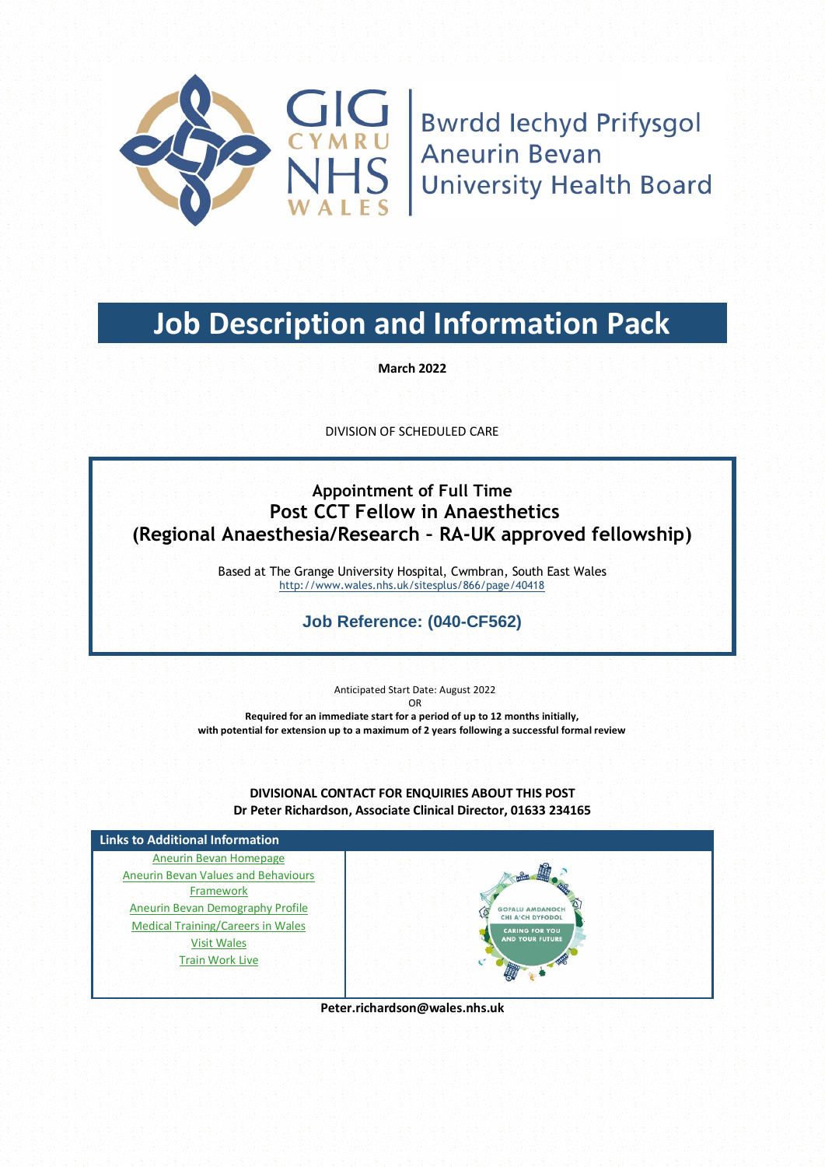

**TICH**<br> **Bwrdd Iechyd Prifysgol**<br> **JHS** Aneurin Bevan<br>
JHS Liniversity Hoalth Bears **University Health Board** 

# **Job Description and Information Pack**

**March 2022**

DIVISION OF SCHEDULED CARE

## **Appointment of Full Time Post CCT Fellow in Anaesthetics (Regional Anaesthesia/Research – RA-UK approved fellowship)**

Based at The Grange University Hospital, Cwmbran, South East Wales <http://www.wales.nhs.uk/sitesplus/866/page/40418>

### **Job Reference: (040-CF562)**

Anticipated Start Date: August 2022 OR **Required for an immediate start for a period of up to 12 months initially, with potential for extension up to a maximum of 2 years following a successful formal review**

**DIVISIONAL CONTACT FOR ENQUIRIES ABOUT THIS POST Dr Peter Richardson, Associate Clinical Director, 01633 234165**



**Peter.richardson@wales.nhs.uk**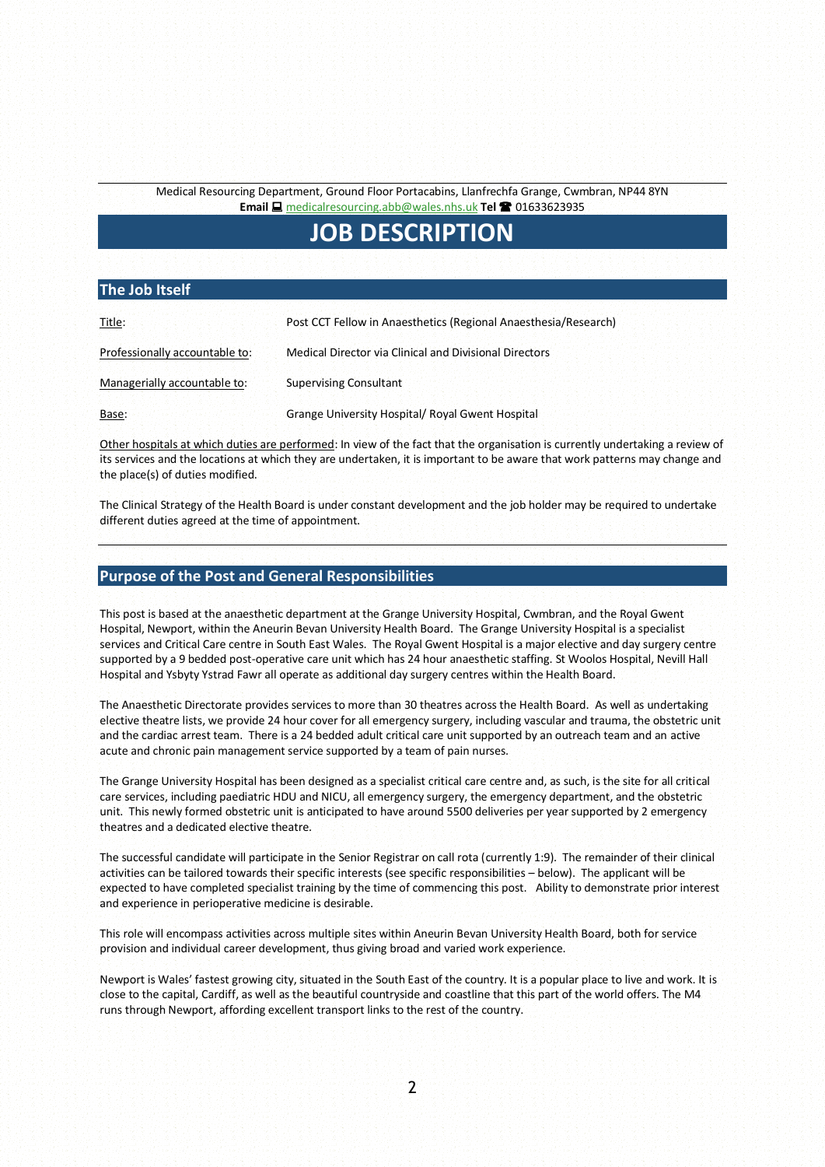Medical Resourcing Department, Ground Floor Portacabins, Llanfrechfa Grange, Cwmbran, NP44 8YN **Email**  [medicalresourcing.abb@wales.nhs.uk](mailto:medicalresourcing.abb@wales.nhs.uk) **Tel**  01633623935

## **JOB DESCRIPTION**

#### **The Job Itself**

| Title:                         | Post CCT Fellow in Anaesthetics (Regional Anaesthesia/Research) |  |  |  |  |
|--------------------------------|-----------------------------------------------------------------|--|--|--|--|
| Professionally accountable to: | Medical Director via Clinical and Divisional Directors          |  |  |  |  |
| Managerially accountable to:   | <b>Supervising Consultant</b>                                   |  |  |  |  |
| Base:                          | Grange University Hospital/ Royal Gwent Hospital                |  |  |  |  |

Other hospitals at which duties are performed: In view of the fact that the organisation is currently undertaking a review of its services and the locations at which they are undertaken, it is important to be aware that work patterns may change and the place(s) of duties modified.

The Clinical Strategy of the Health Board is under constant development and the job holder may be required to undertake different duties agreed at the time of appointment.

#### **Purpose of the Post and General Responsibilities**

This post is based at the anaesthetic department at the Grange University Hospital, Cwmbran, and the Royal Gwent Hospital, Newport, within the Aneurin Bevan University Health Board. The Grange University Hospital is a specialist services and Critical Care centre in South East Wales. The Royal Gwent Hospital is a major elective and day surgery centre supported by a 9 bedded post-operative care unit which has 24 hour anaesthetic staffing. St Woolos Hospital, Nevill Hall Hospital and Ysbyty Ystrad Fawr all operate as additional day surgery centres within the Health Board.

The Anaesthetic Directorate provides services to more than 30 theatres across the Health Board. As well as undertaking elective theatre lists, we provide 24 hour cover for all emergency surgery, including vascular and trauma, the obstetric unit and the cardiac arrest team. There is a 24 bedded adult critical care unit supported by an outreach team and an active acute and chronic pain management service supported by a team of pain nurses.

The Grange University Hospital has been designed as a specialist critical care centre and, as such, is the site for all critical care services, including paediatric HDU and NICU, all emergency surgery, the emergency department, and the obstetric unit. This newly formed obstetric unit is anticipated to have around 5500 deliveries per year supported by 2 emergency theatres and a dedicated elective theatre.

The successful candidate will participate in the Senior Registrar on call rota (currently 1:9). The remainder of their clinical activities can be tailored towards their specific interests (see specific responsibilities – below). The applicant will be expected to have completed specialist training by the time of commencing this post. Ability to demonstrate prior interest and experience in perioperative medicine is desirable.

This role will encompass activities across multiple sites within Aneurin Bevan University Health Board, both for service provision and individual career development, thus giving broad and varied work experience.

Newport is Wales' fastest growing city, situated in the South East of the country. It is a popular place to live and work. It is close to the capital, Cardiff, as well as the beautiful countryside and coastline that this part of the world offers. The M4 runs through Newport, affording excellent transport links to the rest of the country.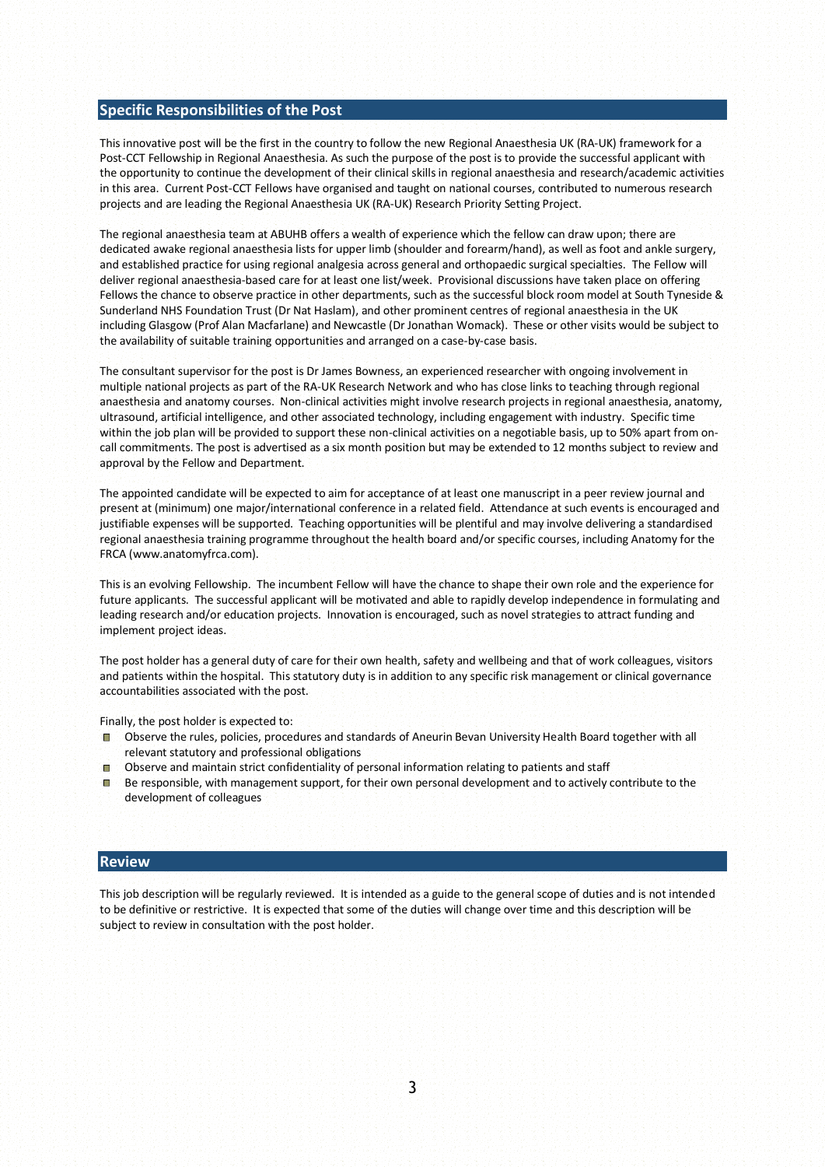#### **Specific Responsibilities of the Post**

This innovative post will be the first in the country to follow the new Regional Anaesthesia UK (RA-UK) framework for a Post-CCT Fellowship in Regional Anaesthesia. As such the purpose of the post is to provide the successful applicant with the opportunity to continue the development of their clinical skills in regional anaesthesia and research/academic activities in this area. Current Post-CCT Fellows have organised and taught on national courses, contributed to numerous research projects and are leading the Regional Anaesthesia UK (RA-UK) Research Priority Setting Project.

The regional anaesthesia team at ABUHB offers a wealth of experience which the fellow can draw upon; there are dedicated awake regional anaesthesia lists for upper limb (shoulder and forearm/hand), as well as foot and ankle surgery, and established practice for using regional analgesia across general and orthopaedic surgical specialties. The Fellow will deliver regional anaesthesia-based care for at least one list/week. Provisional discussions have taken place on offering Fellows the chance to observe practice in other departments, such as the successful block room model at South Tyneside & Sunderland NHS Foundation Trust (Dr Nat Haslam), and other prominent centres of regional anaesthesia in the UK including Glasgow (Prof Alan Macfarlane) and Newcastle (Dr Jonathan Womack). These or other visits would be subject to the availability of suitable training opportunities and arranged on a case-by-case basis.

The consultant supervisor for the post is Dr James Bowness, an experienced researcher with ongoing involvement in multiple national projects as part of the RA-UK Research Network and who has close links to teaching through regional anaesthesia and anatomy courses. Non-clinical activities might involve research projects in regional anaesthesia, anatomy, ultrasound, artificial intelligence, and other associated technology, including engagement with industry. Specific time within the job plan will be provided to support these non-clinical activities on a negotiable basis, up to 50% apart from oncall commitments. The post is advertised as a six month position but may be extended to 12 months subject to review and approval by the Fellow and Department.

The appointed candidate will be expected to aim for acceptance of at least one manuscript in a peer review journal and present at (minimum) one major/international conference in a related field. Attendance at such events is encouraged and justifiable expenses will be supported. Teaching opportunities will be plentiful and may involve delivering a standardised regional anaesthesia training programme throughout the health board and/or specific courses, including Anatomy for the FRCA (www.anatomyfrca.com).

This is an evolving Fellowship. The incumbent Fellow will have the chance to shape their own role and the experience for future applicants. The successful applicant will be motivated and able to rapidly develop independence in formulating and leading research and/or education projects. Innovation is encouraged, such as novel strategies to attract funding and implement project ideas.

The post holder has a general duty of care for their own health, safety and wellbeing and that of work colleagues, visitors and patients within the hospital. This statutory duty is in addition to any specific risk management or clinical governance accountabilities associated with the post.

Finally, the post holder is expected to:

- Observe the rules, policies, procedures and standards of Aneurin Bevan University Health Board together with all relevant statutory and professional obligations
- Observe and maintain strict confidentiality of personal information relating to patients and staff
- $\Box$  Be responsible, with management support, for their own personal development and to actively contribute to the development of colleagues

#### **Review**

This job description will be regularly reviewed. It is intended as a guide to the general scope of duties and is not intended to be definitive or restrictive. It is expected that some of the duties will change over time and this description will be subject to review in consultation with the post holder.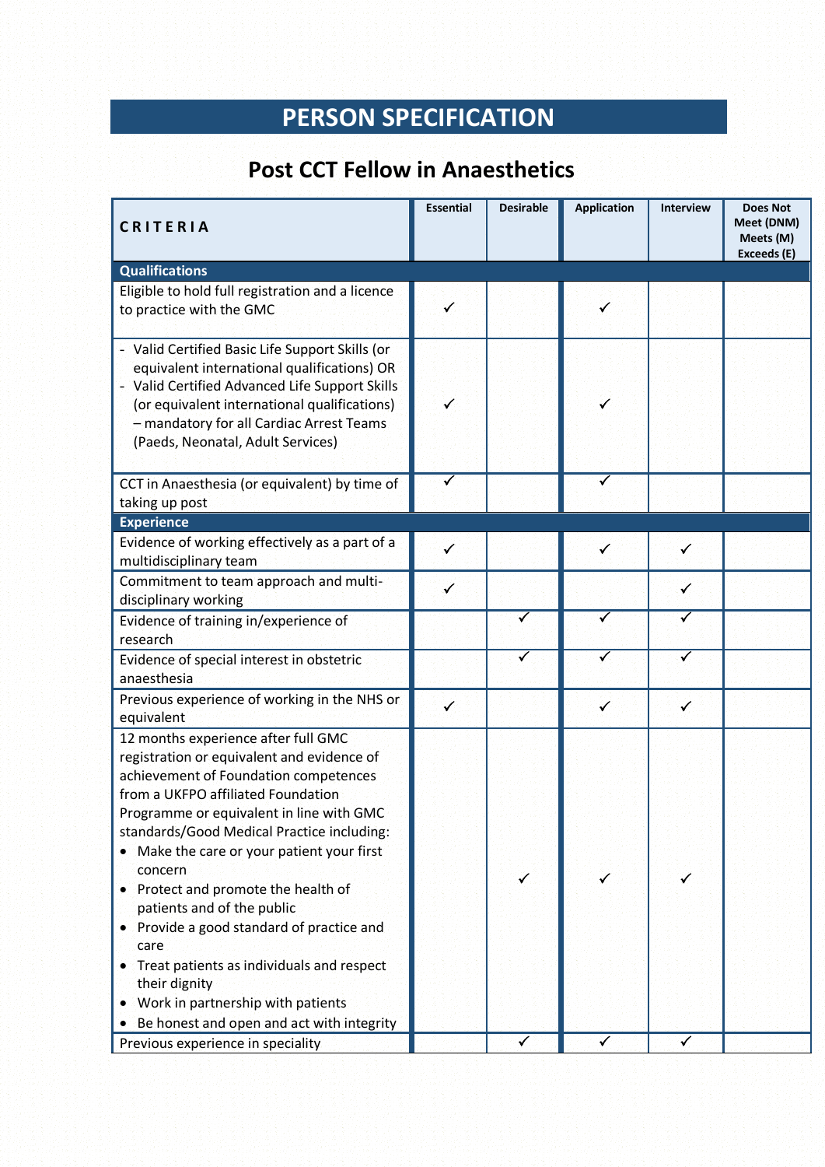# **PERSON SPECIFICATION**

# **Post CCT Fellow in Anaesthetics**

| CRITERIA                                                                                                                                                                                                                                                                                                                                                                                                                                                                                                                                                                                                                         | <b>Essential</b>        | <b>Desirable</b> | <b>Application</b> | <b>Interview</b> | <b>Does Not</b><br>Meet (DNM)<br>Meets (M)<br>Exceeds (E) |
|----------------------------------------------------------------------------------------------------------------------------------------------------------------------------------------------------------------------------------------------------------------------------------------------------------------------------------------------------------------------------------------------------------------------------------------------------------------------------------------------------------------------------------------------------------------------------------------------------------------------------------|-------------------------|------------------|--------------------|------------------|-----------------------------------------------------------|
| <b>Qualifications</b>                                                                                                                                                                                                                                                                                                                                                                                                                                                                                                                                                                                                            |                         |                  |                    |                  |                                                           |
| Eligible to hold full registration and a licence<br>to practice with the GMC                                                                                                                                                                                                                                                                                                                                                                                                                                                                                                                                                     | $\checkmark$            |                  | $\checkmark$       |                  |                                                           |
| - Valid Certified Basic Life Support Skills (or<br>equivalent international qualifications) OR<br>- Valid Certified Advanced Life Support Skills<br>(or equivalent international qualifications)<br>- mandatory for all Cardiac Arrest Teams<br>(Paeds, Neonatal, Adult Services)                                                                                                                                                                                                                                                                                                                                                | $\checkmark$            |                  | $\checkmark$       |                  |                                                           |
| CCT in Anaesthesia (or equivalent) by time of                                                                                                                                                                                                                                                                                                                                                                                                                                                                                                                                                                                    | $\overline{\checkmark}$ |                  | ✓                  |                  |                                                           |
| taking up post                                                                                                                                                                                                                                                                                                                                                                                                                                                                                                                                                                                                                   |                         |                  |                    |                  |                                                           |
| <b>Experience</b>                                                                                                                                                                                                                                                                                                                                                                                                                                                                                                                                                                                                                |                         |                  |                    |                  |                                                           |
| Evidence of working effectively as a part of a                                                                                                                                                                                                                                                                                                                                                                                                                                                                                                                                                                                   | $\checkmark$            |                  | $\checkmark$       | $\checkmark$     |                                                           |
| multidisciplinary team                                                                                                                                                                                                                                                                                                                                                                                                                                                                                                                                                                                                           |                         |                  |                    |                  |                                                           |
| Commitment to team approach and multi-                                                                                                                                                                                                                                                                                                                                                                                                                                                                                                                                                                                           | $\checkmark$            |                  |                    | $\checkmark$     |                                                           |
| disciplinary working                                                                                                                                                                                                                                                                                                                                                                                                                                                                                                                                                                                                             |                         |                  |                    |                  |                                                           |
| Evidence of training in/experience of                                                                                                                                                                                                                                                                                                                                                                                                                                                                                                                                                                                            |                         | ✓                | ✓                  | ✓                |                                                           |
| research                                                                                                                                                                                                                                                                                                                                                                                                                                                                                                                                                                                                                         |                         |                  |                    |                  |                                                           |
| Evidence of special interest in obstetric                                                                                                                                                                                                                                                                                                                                                                                                                                                                                                                                                                                        |                         | ✓                |                    |                  |                                                           |
| anaesthesia                                                                                                                                                                                                                                                                                                                                                                                                                                                                                                                                                                                                                      |                         |                  |                    |                  |                                                           |
| Previous experience of working in the NHS or                                                                                                                                                                                                                                                                                                                                                                                                                                                                                                                                                                                     | $\checkmark$            |                  | $\checkmark$       | ✓                |                                                           |
| equivalent                                                                                                                                                                                                                                                                                                                                                                                                                                                                                                                                                                                                                       |                         |                  |                    |                  |                                                           |
| 12 months experience after full GMC<br>registration or equivalent and evidence of<br>achievement of Foundation competences<br>from a UKFPO affiliated Foundation<br>Programme or equivalent in line with GMC<br>standards/Good Medical Practice including:<br>Make the care or your patient your first<br>$\bullet$<br>concern<br>Protect and promote the health of<br>۰<br>patients and of the public<br>Provide a good standard of practice and<br>$\bullet$<br>care<br>Treat patients as individuals and respect<br>۰<br>their dignity<br>Work in partnership with patients<br>۰<br>Be honest and open and act with integrity |                         | ✓                | $\checkmark$       |                  |                                                           |
| Previous experience in speciality                                                                                                                                                                                                                                                                                                                                                                                                                                                                                                                                                                                                |                         | ✓                | ✓                  | $\checkmark$     |                                                           |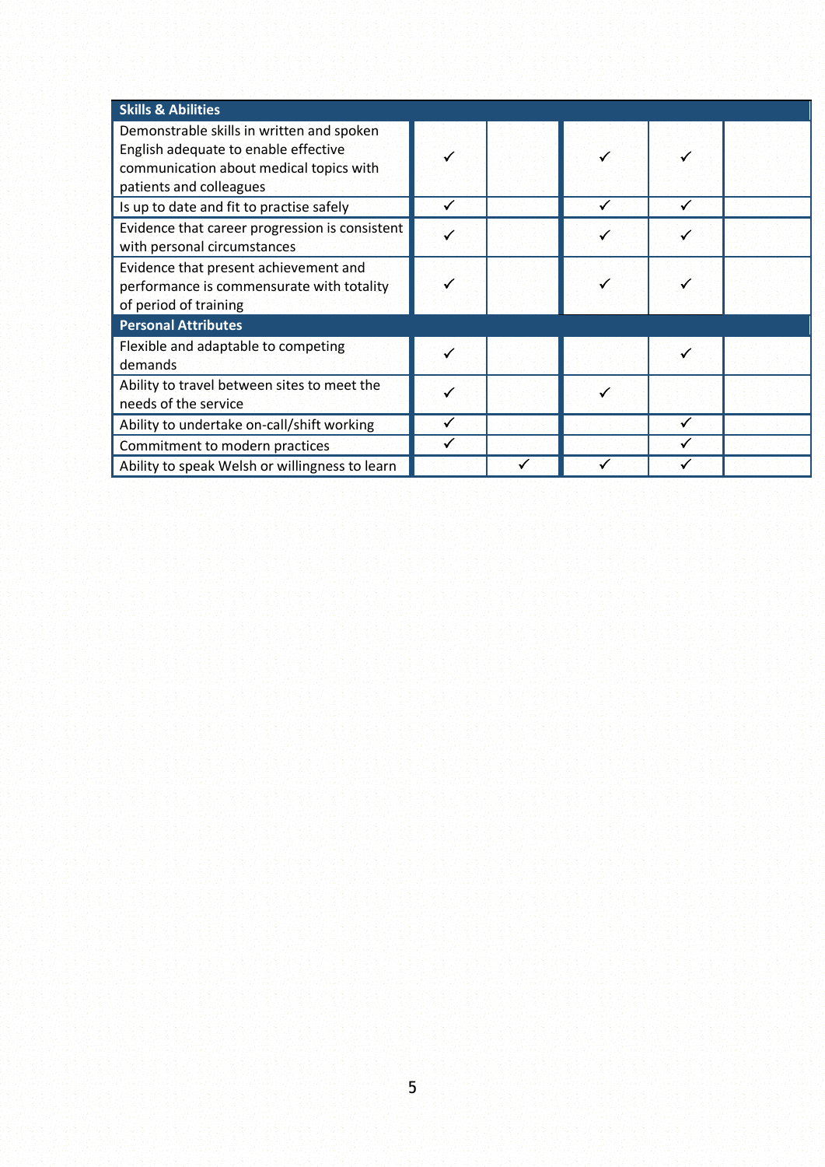| <b>Skills &amp; Abilities</b>                                                                                                                           |  |  |   |  |  |  |  |
|---------------------------------------------------------------------------------------------------------------------------------------------------------|--|--|---|--|--|--|--|
| Demonstrable skills in written and spoken<br>English adequate to enable effective<br>communication about medical topics with<br>patients and colleagues |  |  |   |  |  |  |  |
| Is up to date and fit to practise safely                                                                                                                |  |  |   |  |  |  |  |
| Evidence that career progression is consistent<br>with personal circumstances                                                                           |  |  |   |  |  |  |  |
| Evidence that present achievement and<br>performance is commensurate with totality<br>of period of training                                             |  |  |   |  |  |  |  |
| <b>Personal Attributes</b>                                                                                                                              |  |  |   |  |  |  |  |
| Flexible and adaptable to competing<br>demands                                                                                                          |  |  |   |  |  |  |  |
| Ability to travel between sites to meet the<br>needs of the service                                                                                     |  |  | √ |  |  |  |  |
| Ability to undertake on-call/shift working                                                                                                              |  |  |   |  |  |  |  |
| Commitment to modern practices                                                                                                                          |  |  |   |  |  |  |  |
| Ability to speak Welsh or willingness to learn                                                                                                          |  |  |   |  |  |  |  |